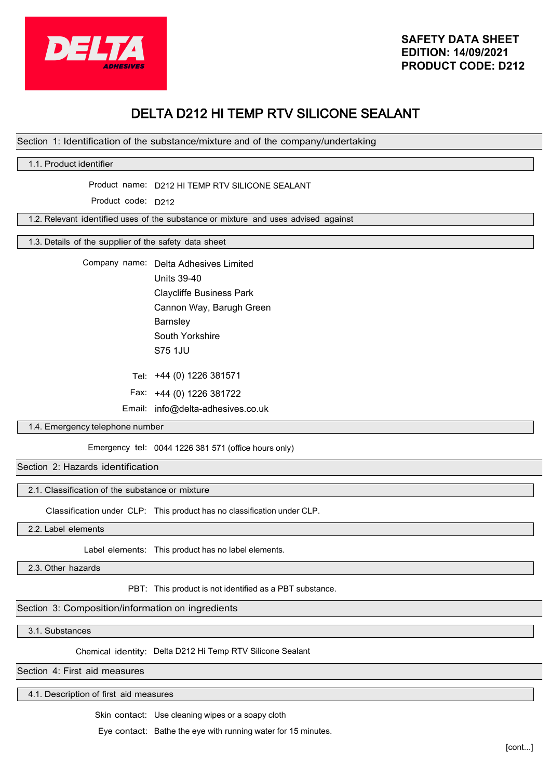

# DELTA D212 HI TEMP RTV SILICONE SEALANT

# Section 1: Identification of the substance/mixture and of the company/undertaking

# 1.1. Product identifier

Product name: D212 HI TEMP RTV SILICONE SEALANT

Product code: D212

1.2. Relevant identified uses of the substance or mixture and uses advised against

1.3. Details of the supplier of the safety data sheet

Company name: Delta Adhesives Limited Units 39-40 Claycliffe Business Park Cannon Way, Barugh Green **Barnsley** South Yorkshire S75 1JU

+44 (0) 1226 381571 Tel:

Fax: +44 (0) 1226 381722

Email: info@delta-adhesives.co.uk

## 1.4. Emergency telephone number

Emergency tel: 0044 1226 381 571 (office hours only)

#### Section 2: Hazards identification

### 2.1. Classification of the substance or mixture

Classification under CLP: This product has no classification under CLP.

2.2. Label elements

Label elements: This product has no label elements.

2.3. Other hazards

PBT: This product is not identified as a PBT substance.

## Section 3: Composition/information on ingredients

3.1. Substances

Chemical identity: Delta D212 Hi Temp RTV Silicone Sealant

Section 4: First aid measures

4.1. Description of first aid measures

Skin contact: Use cleaning wipes or a soapy cloth

Eye contact: Bathe the eye with running water for 15 minutes.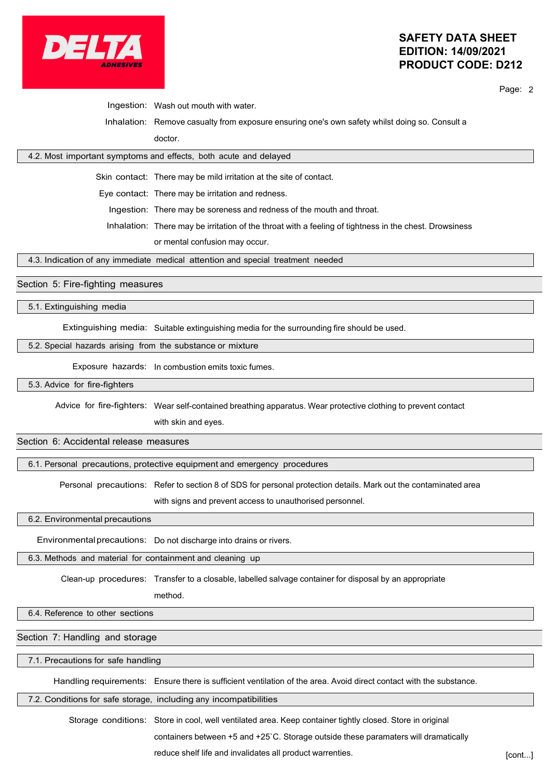

# **SAFETY DATA SHEET EDITION: 14/09/2021 PRODUCT CODE: D212**

Page: 2

Ingestion: Wash out mouth with water.

Inhalation: Remove casualty from exposure ensuring one's own safety whilst doing so. Consult a doctor.

# 4.2. Most important symptoms and effects, both acute and delayed

Skin contact: There may be mild irritation at the site of contact.

Eye contact: There may be irritation and redness.

Ingestion: There may be soreness and redness of the mouth and throat.

Inhalation: There may be irritation of the throat with a feeling of tightness in the chest. Drowsiness

or mental confusion may occur.

4.3. Indication of any immediate medical attention and special treatment needed

# Section 5: Fire-fighting measures

5.1. Extinguishing media

Extinguishing media: Suitable extinguishing media for the surrounding fire should be used.

#### 5.2. Special hazards arising from the substance or mixture

Exposure hazards: In combustion emits toxic fumes.

5.3. Advice for fire-fighters

Advice for fire-fighters: Wear self-contained breathing apparatus. Wear protective clothing to prevent contact

with skin and eyes.

# Section 6: Accidental release measures

6.1. Personal precautions, protective equipment and emergency procedures

Personal precautions: Refer to section 8 of SDS for personal protection details. Mark out the contaminated area

with signs and prevent access to unauthorised personnel.

6.2. Environmental precautions

Environmentalprecautions: Do not discharge into drains or rivers.

6.3. Methods and material for containment and cleaning up

Clean-up procedures: Transfer to a closable, labelled salvage container for disposal by an appropriate

method.

6.4. Reference to other sections

Section 7: Handling and storage

7.1. Precautions for safe handling

Handling requirements: Ensure there is sufficient ventilation of the area. Avoid direct contact with the substance.

7.2. Conditions for safe storage, including any incompatibilities

Storage conditions: Store in cool, well ventilated area. Keep container tightly closed. Store in original containers between +5 and +25`C. Storage outside these paramaters will dramatically

reduce shelf life and invalidates all product warrenties. **Fig. 1.13 and 1.13 and 1.13 and 1.13 and 1.13 and 1.1**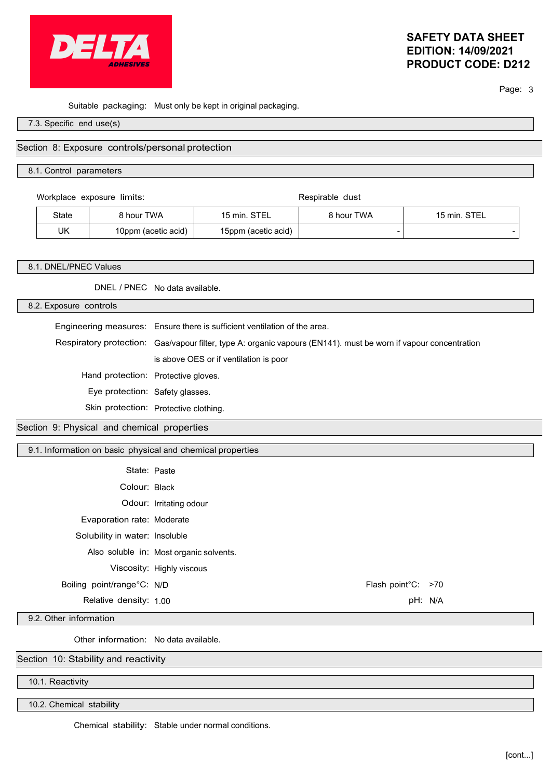

# **SAFETY DATA SHEET EDITION: 14/09/2021 PRODUCT CODE: D212**

Page: 3

Suitable packaging: Must only be kept in original packaging.

7.3. Specific end use(s)

## Section 8: Exposure controls/personal protection

#### 8.1. Control parameters

Workplace exposure limits: Respirable dust

| State | 8 hour TWA          | <b>QTE</b><br>$15$ min. | 3 hour TWA               | <b>STEL</b><br>$15 \text{ min.}$ |
|-------|---------------------|-------------------------|--------------------------|----------------------------------|
| UK    | 10ppm (acetic acid) | 15ppm (acetic acid)     | $\overline{\phantom{a}}$ | $\overline{\phantom{0}}$         |

#### 8.1. DNEL/PNEC Values

DNEL / PNEC No data available.

8.2. Exposure controls

Engineering measures: Ensure there is sufficient ventilation of the area.

Respiratory protection: Gas/vapour filter, type A: organic vapours (EN141). must be worn if vapour concentration is above OES or if ventilation is poor

Hand protection: Protective gloves.

Eye protection: Safety glasses.

Skin protection: Protective clothing.

Section 9: Physical and chemical properties

9.1. Information on basic physical and chemical properties

| State: Paste                   |                                         |                    |  |
|--------------------------------|-----------------------------------------|--------------------|--|
| Colour: Black                  |                                         |                    |  |
|                                | Odour: Irritating odour                 |                    |  |
| Evaporation rate: Moderate     |                                         |                    |  |
| Solubility in water: Insoluble |                                         |                    |  |
|                                | Also soluble in: Most organic solvents. |                    |  |
|                                | Viscosity: Highly viscous               |                    |  |
| Boiling point/range°C: N/D     |                                         | Flash point°C: >70 |  |
| Relative density: 1.00         |                                         | pH: N/A            |  |

9.2. Other information

Other information: No data available.

Section 10: Stability and reactivity

10.1. Reactivity

10.2. Chemical stability

Chemical stability: Stable under normal conditions.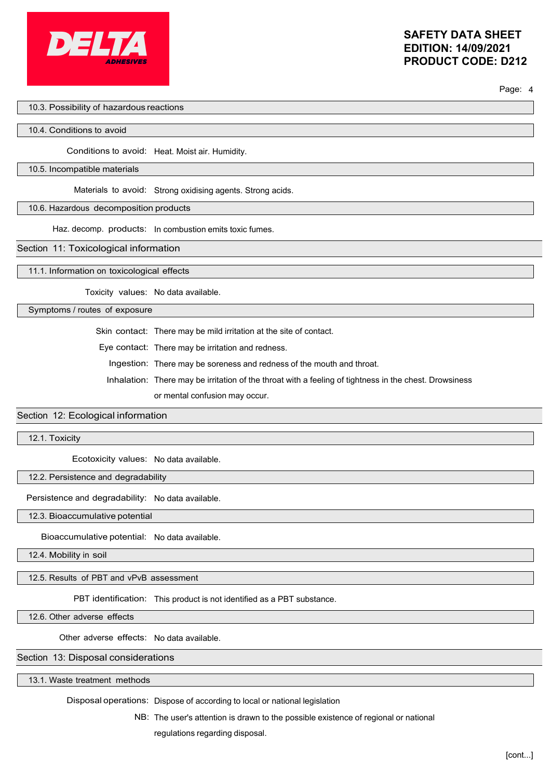

Page: 4

#### 10.3. Possibility of hazardous reactions

#### 10.4. Conditions to avoid

Conditions to avoid: Heat. Moist air. Humidity.

#### 10.5. Incompatible materials

Materials to avoid: Strong oxidising agents. Strong acids.

#### 10.6. Hazardous decomposition products

Haz. decomp. products: In combustion emits toxic fumes.

#### Section 11: Toxicological information

11.1. Information on toxicological effects

Toxicity values: No data available.

Symptoms / routes of exposure

Skin contact: There may be mild irritation at the site of contact.

Eye contact: There may be irritation and redness.

Ingestion: There may be soreness and redness of the mouth and throat.

Inhalation: There may be irritation of the throat with a feeling of tightness in the chest. Drowsiness

or mental confusion may occur.

#### Section 12: Ecological information

12.1. Toxicity

Ecotoxicity values: No data available.

#### 12.2. Persistence and degradability

Persistence and degradability: No data available.

12.3. Bioaccumulative potential

Bioaccumulative potential: No data available.

12.4. Mobility in soil

12.5. Results of PBT and vPvB assessment

PBT identification: This product is not identified as a PBT substance.

12.6. Other adverse effects

Other adverse effects: No data available.

# Section 13: Disposal considerations

13.1. Waste treatment methods

Disposal operations: Dispose of according to local or national legislation

NB: The user's attention is drawn to the possible existence of regional or national regulations regarding disposal.